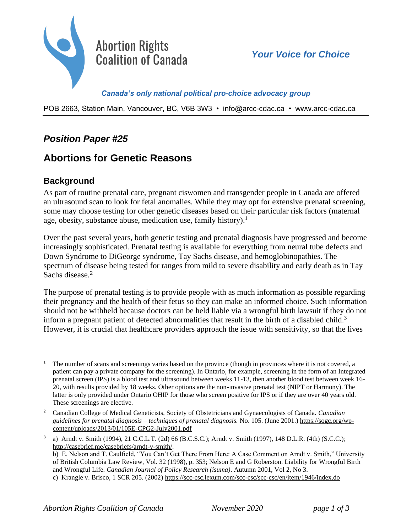

*Canada's only national political pro-choice advocacy group* 

POB 2663, Station Main, Vancouver, BC, V6B 3W3 • info@arcc-cdac.ca • [www.arcc-cdac.ca](http://www.arcc-cdac.ca/)

## *Position Paper #25*

# **Abortions for Genetic Reasons**

#### **Background**

As part of routine prenatal care, pregnant ciswomen and transgender people in Canada are offered an ultrasound scan to look for fetal anomalies. While they may opt for extensive prenatal screening, some may choose testing for other genetic diseases based on their particular risk factors (maternal age, obesity, substance abuse, medication use, family history).<sup>1</sup>

Over the past several years, both genetic testing and prenatal diagnosis have progressed and become increasingly sophisticated. Prenatal testing is available for everything from neural tube defects and Down Syndrome to DiGeorge syndrome, Tay Sachs disease, and hemoglobinopathies. The spectrum of disease being tested for ranges from mild to severe disability and early death as in Tay Sachs disease.<sup>2</sup>

The purpose of prenatal testing is to provide people with as much information as possible regarding their pregnancy and the health of their fetus so they can make an informed choice. Such information should not be withheld because doctors can be held liable via a wrongful birth lawsuit if they do not inform a pregnant patient of detected abnormalities that result in the birth of a disabled child.<sup>3</sup> However, it is crucial that healthcare providers approach the issue with sensitivity, so that the lives

<sup>&</sup>lt;sup>1</sup> The number of scans and screenings varies based on the province (though in provinces where it is not covered, a patient can pay a private company for the screening). In Ontario, for example, screening in the form of an Integrated prenatal screen (IPS) is a blood test and ultrasound between weeks 11-13, then another blood test between week 16- 20, with results provided by 18 weeks. Other options are the non-invasive prenatal test (NIPT or Harmony). The latter is only provided under Ontario OHIP for those who screen positive for IPS or if they are over 40 years old. These screenings are elective.

<sup>2</sup> Canadian College of Medical Geneticists, Society of Obstetricians and Gynaecologists of Canada. *Canadian guidelines for prenatal diagnosis – techniques of prenatal diagnosis.* No. 105. (June 2001.) [https://sogc.org/wp](https://sogc.org/wp-content/uploads/2013/01/105E-CPG2-July2001.pdf)[content/uploads/2013/01/105E-CPG2-July2001.pdf](https://sogc.org/wp-content/uploads/2013/01/105E-CPG2-July2001.pdf)

<sup>3</sup> a) Arndt v. Smith (1994), 21 C.C.L.T. (2d) 66 (B.C.S.C.); Arndt v. Smith (1997), 148 D.L.R. (4th) (S.C.C.); [http://casebrief.me/casebriefs/arndt-v-smith/.](http://casebrief.me/casebriefs/arndt-v-smith/)

b) E. Nelson and T. Caulfield, "You Can't Get There From Here: A Case Comment on Arndt v. Smith," University of British Columbia Law Review, Vol. 32 (1998), p. 353; Nelson E and G Roberston. Liability for Wrongful Birth and Wrongful Life. *Canadian Journal of Policy Research (isuma)*. Autumn 2001, Vol 2, No 3.

c) Krangle v. Brisco, 1 SCR 205. (2002)<https://scc-csc.lexum.com/scc-csc/scc-csc/en/item/1946/index.do>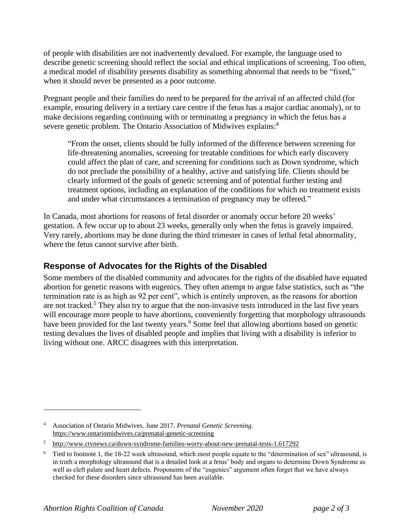of people with disabilities are not inadvertently devalued. For example, the language used to describe genetic screening should reflect the social and ethical implications of screening. Too often, a medical model of disability presents disability as something abnormal that needs to be "fixed," when it should never be presented as a poor outcome.

Pregnant people and their families do need to be prepared for the arrival of an affected child (for example, ensuring delivery in a tertiary care centre if the fetus has a major cardiac anomaly), or to make decisions regarding continuing with or terminating a pregnancy in which the fetus has a severe genetic problem. The Ontario Association of Midwives explains:<sup>4</sup>

"From the onset, clients should be fully informed of the difference between screening for life-threatening anomalies, screening for treatable conditions for which early discovery could affect the plan of care, and screening for conditions such as Down syndrome, which do not preclude the possibility of a healthy, active and satisfying life. Clients should be clearly informed of the goals of genetic screening and of potential further testing and treatment options, including an explanation of the conditions for which no treatment exists and under what circumstances a termination of pregnancy may be offered."

In Canada, most abortions for reasons of fetal disorder or anomaly occur before 20 weeks' gestation. A few occur up to about 23 weeks, generally only when the fetus is gravely impaired. Very rarely, abortions may be done during the third trimester in cases of lethal fetal abnormality, where the fetus cannot survive after birth.

#### **Response of Advocates for the Rights of the Disabled**

Some members of the disabled community and advocates for the rights of the disabled have equated abortion for genetic reasons with eugenics. They often attempt to argue false statistics, such as "the termination rate is as high as 92 per cent", which is entirely unproven, as the reasons for abortion are not tracked.<sup>5</sup> They also try to argue that the non-invasive tests introduced in the last five years will encourage more people to have abortions, conveniently forgetting that morphology ultrasounds have been provided for the last twenty years.<sup>6</sup> Some feel that allowing abortions based on genetic testing devalues the lives of disabled people and implies that living with a disability is inferior to living without one. ARCC disagrees with this interpretation.

<sup>4</sup> Association of Ontario Midwives. June 2017. *Prenatal Genetic Screening*. <https://www.ontariomidwives.ca/prenatal-genetic-screening>

<sup>5</sup> <http://www.ctvnews.ca/down-syndrome-families-worry-about-new-prenatal-tests-1.617292>

<sup>&</sup>lt;sup>6</sup> Tied to footnote 1, the 18-22 week ultrasound, which most people equate to the "determination of sex" ultrasound, is in truth a morphology ultrasound that is a detailed look at a fetus' body and organs to determine Down Syndrome as well as cleft palate and heart defects. Proponents of the "eugenics" argument often forget that we have always checked for these disorders since ultrasound has been available.